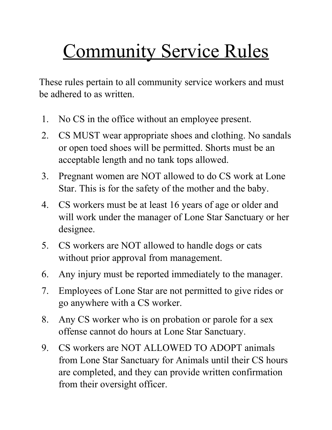## Community Service Rules

These rules pertain to all community service workers and must be adhered to as written.

- 1. No CS in the office without an employee present.
- 2. CS MUST wear appropriate shoes and clothing. No sandals or open toed shoes will be permitted. Shorts must be an acceptable length and no tank tops allowed.
- 3. Pregnant women are NOT allowed to do CS work at Lone Star. This is for the safety of the mother and the baby.
- 4. CS workers must be at least 16 years of age or older and will work under the manager of Lone Star Sanctuary or her designee.
- 5. CS workers are NOT allowed to handle dogs or cats without prior approval from management.
- 6. Any injury must be reported immediately to the manager.
- 7. Employees of Lone Star are not permitted to give rides or go anywhere with a CS worker.
- 8. Any CS worker who is on probation or parole for a sex offense cannot do hours at Lone Star Sanctuary.
- 9. CS workers are NOT ALLOWED TO ADOPT animals from Lone Star Sanctuary for Animals until their CS hours are completed, and they can provide written confirmation from their oversight officer.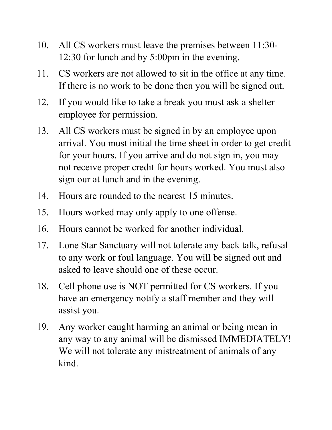- 10. All CS workers must leave the premises between 11:30- 12:30 for lunch and by 5:00pm in the evening.
- 11. CS workers are not allowed to sit in the office at any time. If there is no work to be done then you will be signed out.
- 12. If you would like to take a break you must ask a shelter employee for permission.
- 13. All CS workers must be signed in by an employee upon arrival. You must initial the time sheet in order to get credit for your hours. If you arrive and do not sign in, you may not receive proper credit for hours worked. You must also sign our at lunch and in the evening.
- 14. Hours are rounded to the nearest 15 minutes.
- 15. Hours worked may only apply to one offense.
- 16. Hours cannot be worked for another individual.
- 17. Lone Star Sanctuary will not tolerate any back talk, refusal to any work or foul language. You will be signed out and asked to leave should one of these occur.
- 18. Cell phone use is NOT permitted for CS workers. If you have an emergency notify a staff member and they will assist you.
- 19. Any worker caught harming an animal or being mean in any way to any animal will be dismissed IMMEDIATELY! We will not tolerate any mistreatment of animals of any kind.